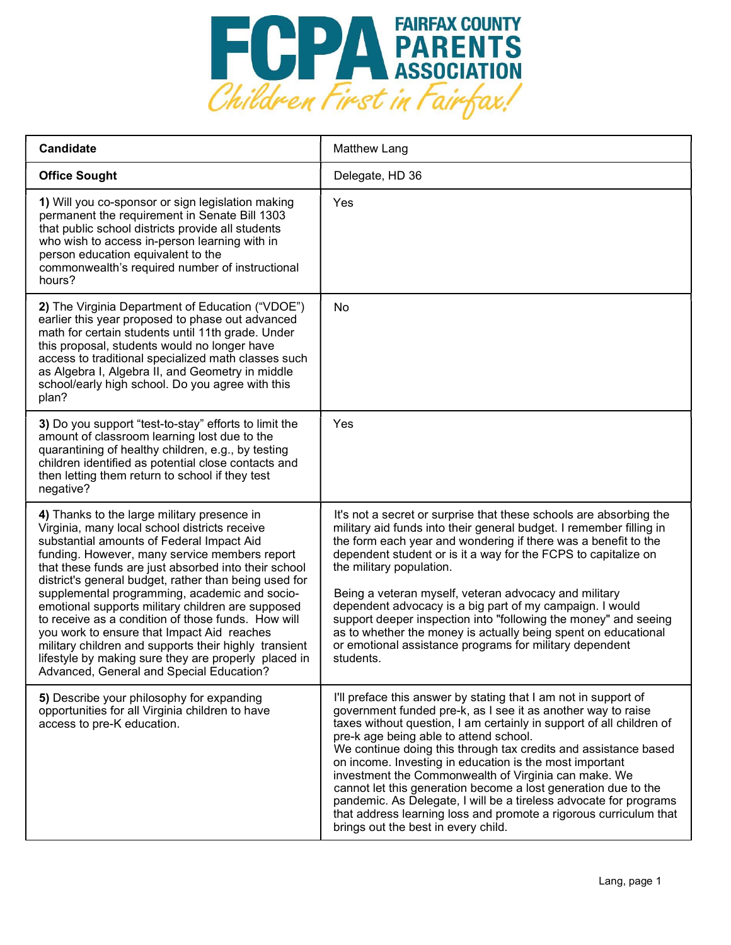

| Candidate                                                                                                                                                                                                                                                                                                                                                                                                                                                                                                                                                                                                                                                                          | <b>Matthew Lang</b>                                                                                                                                                                                                                                                                                                                                                                                                                                                                                                                                                                                                                                                                        |
|------------------------------------------------------------------------------------------------------------------------------------------------------------------------------------------------------------------------------------------------------------------------------------------------------------------------------------------------------------------------------------------------------------------------------------------------------------------------------------------------------------------------------------------------------------------------------------------------------------------------------------------------------------------------------------|--------------------------------------------------------------------------------------------------------------------------------------------------------------------------------------------------------------------------------------------------------------------------------------------------------------------------------------------------------------------------------------------------------------------------------------------------------------------------------------------------------------------------------------------------------------------------------------------------------------------------------------------------------------------------------------------|
| <b>Office Sought</b>                                                                                                                                                                                                                                                                                                                                                                                                                                                                                                                                                                                                                                                               | Delegate, HD 36                                                                                                                                                                                                                                                                                                                                                                                                                                                                                                                                                                                                                                                                            |
| 1) Will you co-sponsor or sign legislation making<br>permanent the requirement in Senate Bill 1303<br>that public school districts provide all students<br>who wish to access in-person learning with in<br>person education equivalent to the<br>commonwealth's required number of instructional<br>hours?                                                                                                                                                                                                                                                                                                                                                                        | Yes                                                                                                                                                                                                                                                                                                                                                                                                                                                                                                                                                                                                                                                                                        |
| 2) The Virginia Department of Education ("VDOE")<br>earlier this year proposed to phase out advanced<br>math for certain students until 11th grade. Under<br>this proposal, students would no longer have<br>access to traditional specialized math classes such<br>as Algebra I, Algebra II, and Geometry in middle<br>school/early high school. Do you agree with this<br>plan?                                                                                                                                                                                                                                                                                                  | No                                                                                                                                                                                                                                                                                                                                                                                                                                                                                                                                                                                                                                                                                         |
| 3) Do you support "test-to-stay" efforts to limit the<br>amount of classroom learning lost due to the<br>quarantining of healthy children, e.g., by testing<br>children identified as potential close contacts and<br>then letting them return to school if they test<br>negative?                                                                                                                                                                                                                                                                                                                                                                                                 | Yes                                                                                                                                                                                                                                                                                                                                                                                                                                                                                                                                                                                                                                                                                        |
| 4) Thanks to the large military presence in<br>Virginia, many local school districts receive<br>substantial amounts of Federal Impact Aid<br>funding. However, many service members report<br>that these funds are just absorbed into their school<br>district's general budget, rather than being used for<br>supplemental programming, academic and socio-<br>emotional supports military children are supposed<br>to receive as a condition of those funds. How will<br>you work to ensure that Impact Aid reaches<br>military children and supports their highly transient<br>lifestyle by making sure they are properly placed in<br>Advanced, General and Special Education? | It's not a secret or surprise that these schools are absorbing the<br>military aid funds into their general budget. I remember filling in<br>the form each year and wondering if there was a benefit to the<br>dependent student or is it a way for the FCPS to capitalize on<br>the military population.<br>Being a veteran myself, veteran advocacy and military<br>dependent advocacy is a big part of my campaign. I would<br>support deeper inspection into "following the money" and seeing<br>as to whether the money is actually being spent on educational<br>or emotional assistance programs for military dependent<br>students.                                                |
| 5) Describe your philosophy for expanding<br>opportunities for all Virginia children to have<br>access to pre-K education.                                                                                                                                                                                                                                                                                                                                                                                                                                                                                                                                                         | I'll preface this answer by stating that I am not in support of<br>government funded pre-k, as I see it as another way to raise<br>taxes without question, I am certainly in support of all children of<br>pre-k age being able to attend school.<br>We continue doing this through tax credits and assistance based<br>on income. Investing in education is the most important<br>investment the Commonwealth of Virginia can make. We<br>cannot let this generation become a lost generation due to the<br>pandemic. As Delegate, I will be a tireless advocate for programs<br>that address learning loss and promote a rigorous curriculum that<br>brings out the best in every child. |